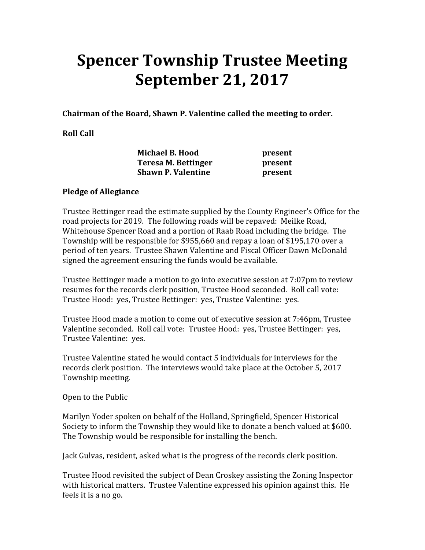## Spencer Township Trustee Meeting September 21, 2017

Chairman of the Board, Shawn P. Valentine called the meeting to order.

## Roll Call

| <b>Michael B. Hood</b> |                           | present |
|------------------------|---------------------------|---------|
|                        | Teresa M. Bettinger       | present |
|                        | <b>Shawn P. Valentine</b> | present |

## Pledge of Allegiance

Trustee Bettinger read the estimate supplied by the County Engineer's Office for the road projects for 2019. The following roads will be repaved: Meilke Road, Whitehouse Spencer Road and a portion of Raab Road including the bridge. The Township will be responsible for \$955,660 and repay a loan of \$195,170 over a period of ten years. Trustee Shawn Valentine and Fiscal Officer Dawn McDonald signed the agreement ensuring the funds would be available.

Trustee Bettinger made a motion to go into executive session at 7:07pm to review resumes for the records clerk position, Trustee Hood seconded. Roll call vote: Trustee Hood: yes, Trustee Bettinger: yes, Trustee Valentine: yes.

Trustee Hood made a motion to come out of executive session at 7:46pm, Trustee Valentine seconded. Roll call vote: Trustee Hood: yes, Trustee Bettinger: yes, Trustee Valentine: yes.

Trustee Valentine stated he would contact 5 individuals for interviews for the records clerk position. The interviews would take place at the October 5, 2017 Township meeting.

Open to the Public

Marilyn Yoder spoken on behalf of the Holland, Springfield, Spencer Historical Society to inform the Township they would like to donate a bench valued at \$600. The Township would be responsible for installing the bench.

Jack Gulvas, resident, asked what is the progress of the records clerk position.

Trustee Hood revisited the subject of Dean Croskey assisting the Zoning Inspector with historical matters. Trustee Valentine expressed his opinion against this. He feels it is a no go.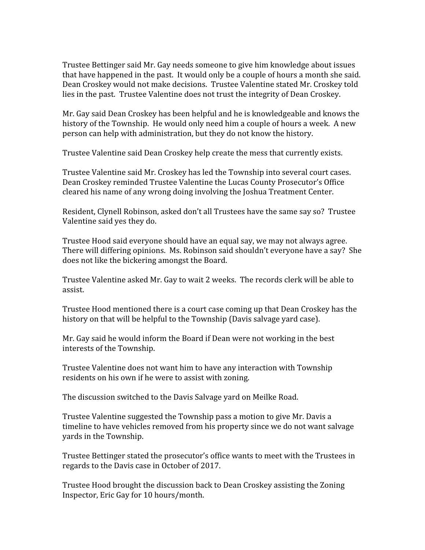Trustee Bettinger said Mr. Gay needs someone to give him knowledge about issues that have happened in the past. It would only be a couple of hours a month she said. Dean Croskey would not make decisions. Trustee Valentine stated Mr. Croskey told lies in the past. Trustee Valentine does not trust the integrity of Dean Croskey.

Mr. Gay said Dean Croskey has been helpful and he is knowledgeable and knows the history of the Township. He would only need him a couple of hours a week. A new person can help with administration, but they do not know the history.

Trustee Valentine said Dean Croskey help create the mess that currently exists.

Trustee Valentine said Mr. Croskey has led the Township into several court cases. Dean Croskey reminded Trustee Valentine the Lucas County Prosecutor's Office cleared his name of any wrong doing involving the Joshua Treatment Center.

Resident, Clynell Robinson, asked don't all Trustees have the same say so? Trustee Valentine said yes they do.

Trustee Hood said everyone should have an equal say, we may not always agree. There will differing opinions. Ms. Robinson said shouldn't everyone have a say? She does not like the bickering amongst the Board.

Trustee Valentine asked Mr. Gay to wait 2 weeks. The records clerk will be able to assist.

Trustee Hood mentioned there is a court case coming up that Dean Croskey has the history on that will be helpful to the Township (Davis salvage yard case).

Mr. Gay said he would inform the Board if Dean were not working in the best interests of the Township.

Trustee Valentine does not want him to have any interaction with Township residents on his own if he were to assist with zoning.

The discussion switched to the Davis Salvage yard on Meilke Road.

Trustee Valentine suggested the Township pass a motion to give Mr. Davis a timeline to have vehicles removed from his property since we do not want salvage yards in the Township.

Trustee Bettinger stated the prosecutor's office wants to meet with the Trustees in regards to the Davis case in October of 2017.

Trustee Hood brought the discussion back to Dean Croskey assisting the Zoning Inspector, Eric Gay for 10 hours/month.